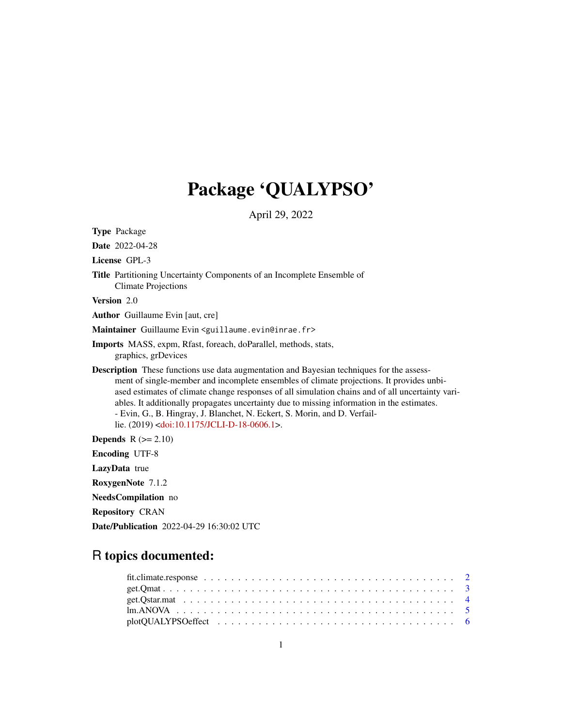## Package 'QUALYPSO'

April 29, 2022

<span id="page-0-0"></span>Type Package Date 2022-04-28 License GPL-3 Title Partitioning Uncertainty Components of an Incomplete Ensemble of Climate Projections Version 2.0 Author Guillaume Evin [aut, cre] Maintainer Guillaume Evin <guillaume.evin@inrae.fr> Imports MASS, expm, Rfast, foreach, doParallel, methods, stats, graphics, grDevices Description These functions use data augmentation and Bayesian techniques for the assessment of single-member and incomplete ensembles of climate projections. It provides unbiased estimates of climate change responses of all simulation chains and of all uncertainty variables. It additionally propagates uncertainty due to missing information in the estimates. - Evin, G., B. Hingray, J. Blanchet, N. Eckert, S. Morin, and D. Verfaillie. (2019) [<doi:10.1175/JCLI-D-18-0606.1>](https://doi.org/10.1175/JCLI-D-18-0606.1). Depends  $R (= 2.10)$ Encoding UTF-8 LazyData true RoxygenNote 7.1.2 NeedsCompilation no

Repository CRAN

Date/Publication 2022-04-29 16:30:02 UTC

## R topics documented: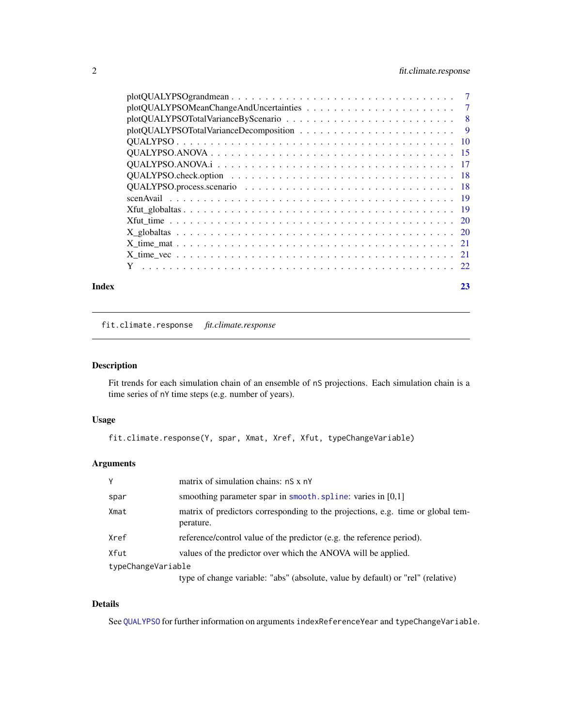## <span id="page-1-0"></span>2 fit.climate.response

| Index | 23 |
|-------|----|
|       |    |
|       |    |
|       |    |
|       |    |
|       |    |
|       |    |
|       |    |
|       |    |
|       |    |
|       |    |
|       |    |
|       |    |
|       |    |
|       |    |
|       |    |
|       |    |

fit.climate.response *fit.climate.response*

## Description

Fit trends for each simulation chain of an ensemble of nS projections. Each simulation chain is a time series of nY time steps (e.g. number of years).

#### Usage

```
fit.climate.response(Y, spar, Xmat, Xref, Xfut, typeChangeVariable)
```
## Arguments

| Y                  | matrix of simulation chains: nS x nY                                                         |  |  |  |  |
|--------------------|----------------------------------------------------------------------------------------------|--|--|--|--|
| spar               | smoothing parameter spar in smooth. spline: varies in $[0,1]$                                |  |  |  |  |
| Xmat               | matrix of predictors corresponding to the projections, e.g. time or global tem-<br>perature. |  |  |  |  |
| Xref               | reference/control value of the predictor (e.g. the reference period).                        |  |  |  |  |
| Xfut               | values of the predictor over which the ANOVA will be applied.                                |  |  |  |  |
| typeChangeVariable |                                                                                              |  |  |  |  |
|                    | type of change variable: "abs" (absolute, value by default) or "rel" (relative)              |  |  |  |  |

#### Details

See [QUALYPSO](#page-9-1) for further information on arguments indexReferenceYear and typeChangeVariable.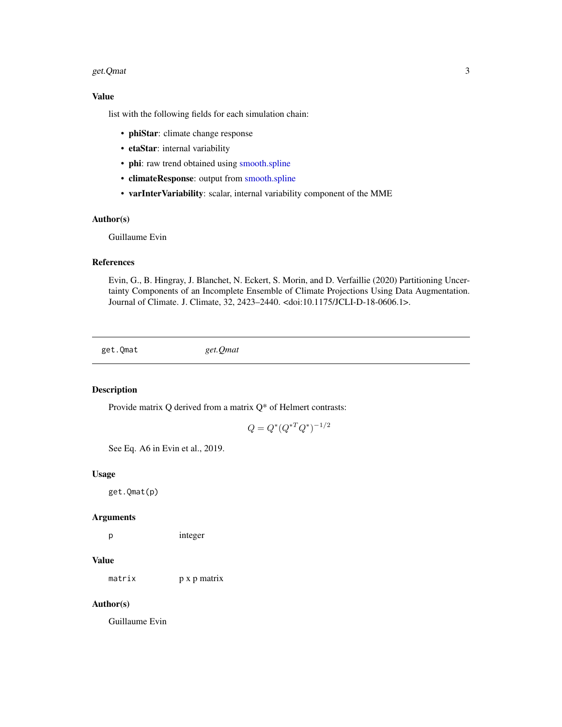#### <span id="page-2-0"></span>get.Qmat 3

## Value

list with the following fields for each simulation chain:

- phiStar: climate change response
- etaStar: internal variability
- phi: raw trend obtained using [smooth.spline](#page-0-0)
- climateResponse: output from [smooth.spline](#page-0-0)
- varInterVariability: scalar, internal variability component of the MME

#### Author(s)

Guillaume Evin

## References

Evin, G., B. Hingray, J. Blanchet, N. Eckert, S. Morin, and D. Verfaillie (2020) Partitioning Uncertainty Components of an Incomplete Ensemble of Climate Projections Using Data Augmentation. Journal of Climate. J. Climate, 32, 2423–2440. <doi:10.1175/JCLI-D-18-0606.1>.

get.Qmat *get.Qmat*

## Description

Provide matrix Q derived from a matrix Q\* of Helmert contrasts:

$$
Q = Q^*(Q^{*T}Q^*)^{-1/2}
$$

See Eq. A6 in Evin et al., 2019.

## Usage

get.Qmat(p)

#### Arguments

p integer

## Value

matrix p x p matrix

## Author(s)

Guillaume Evin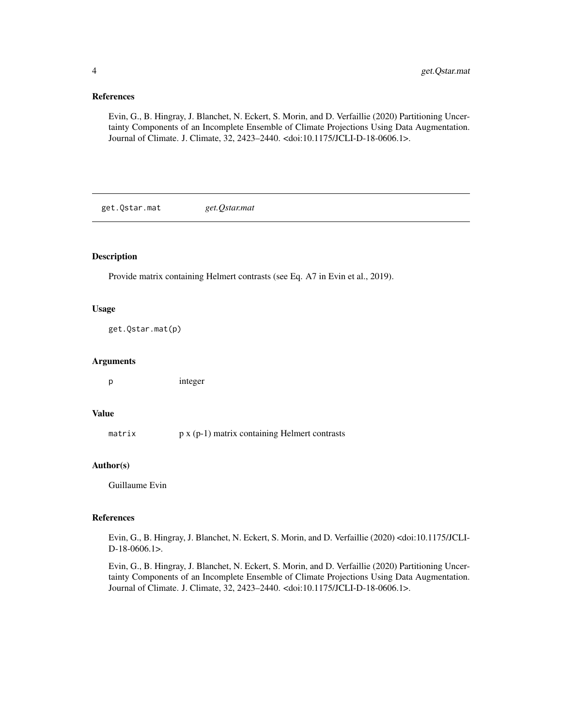#### <span id="page-3-0"></span>References

Evin, G., B. Hingray, J. Blanchet, N. Eckert, S. Morin, and D. Verfaillie (2020) Partitioning Uncertainty Components of an Incomplete Ensemble of Climate Projections Using Data Augmentation. Journal of Climate. J. Climate, 32, 2423–2440. <doi:10.1175/JCLI-D-18-0606.1>.

get.Qstar.mat *get.Qstar.mat*

#### Description

Provide matrix containing Helmert contrasts (see Eq. A7 in Evin et al., 2019).

## Usage

get.Qstar.mat(p)

#### Arguments

p integer

### Value

matrix  $p \times (p-1)$  matrix containing Helmert contrasts

## Author(s)

Guillaume Evin

#### References

Evin, G., B. Hingray, J. Blanchet, N. Eckert, S. Morin, and D. Verfaillie (2020) <doi:10.1175/JCLI-D-18-0606.1>.

Evin, G., B. Hingray, J. Blanchet, N. Eckert, S. Morin, and D. Verfaillie (2020) Partitioning Uncertainty Components of an Incomplete Ensemble of Climate Projections Using Data Augmentation. Journal of Climate. J. Climate, 32, 2423–2440. <doi:10.1175/JCLI-D-18-0606.1>.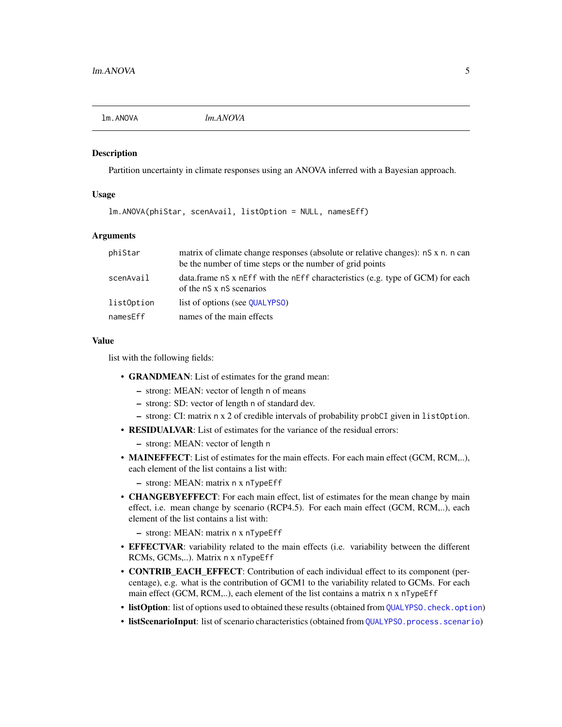<span id="page-4-0"></span>

Partition uncertainty in climate responses using an ANOVA inferred with a Bayesian approach.

#### Usage

lm.ANOVA(phiStar, scenAvail, listOption = NULL, namesEff)

#### Arguments

| phiStar    | matrix of climate change responses (absolute or relative changes): nS x n. n can<br>be the number of time steps or the number of grid points |
|------------|----------------------------------------------------------------------------------------------------------------------------------------------|
| scenAvail  | data.frame nS x nEff with the nEff characteristics (e.g. type of GCM) for each<br>of the nS x nS scenarios                                   |
| listOption | list of options (see QUALYPSO)                                                                                                               |
| namesEff   | names of the main effects                                                                                                                    |

#### Value

list with the following fields:

- GRANDMEAN: List of estimates for the grand mean:
	- strong: MEAN: vector of length n of means
	- strong: SD: vector of length n of standard dev.
	- strong: CI: matrix n x 2 of credible intervals of probability probCI given in listOption.
- RESIDUALVAR: List of estimates for the variance of the residual errors:
	- strong: MEAN: vector of length n
- MAINEFFECT: List of estimates for the main effects. For each main effect (GCM, RCM,..), each element of the list contains a list with:

– strong: MEAN: matrix n x nTypeEff

• **CHANGEBYEFFECT**: For each main effect, list of estimates for the mean change by main effect, i.e. mean change by scenario (RCP4.5). For each main effect (GCM, RCM,..), each element of the list contains a list with:

– strong: MEAN: matrix n x nTypeEff

- EFFECTVAR: variability related to the main effects (i.e. variability between the different RCMs, GCMs,..). Matrix n x nTypeEff
- **CONTRIB\_EACH\_EFFECT**: Contribution of each individual effect to its component (percentage), e.g. what is the contribution of GCM1 to the variability related to GCMs. For each main effect (GCM, RCM,..), each element of the list contains a matrix n x nTypeEff
- listOption: list of options used to obtained these results (obtained from [QUALYPSO.check.option](#page-17-1))
- listScenarioInput: list of scenario characteristics (obtained from [QUALYPSO.process.scenario](#page-17-2))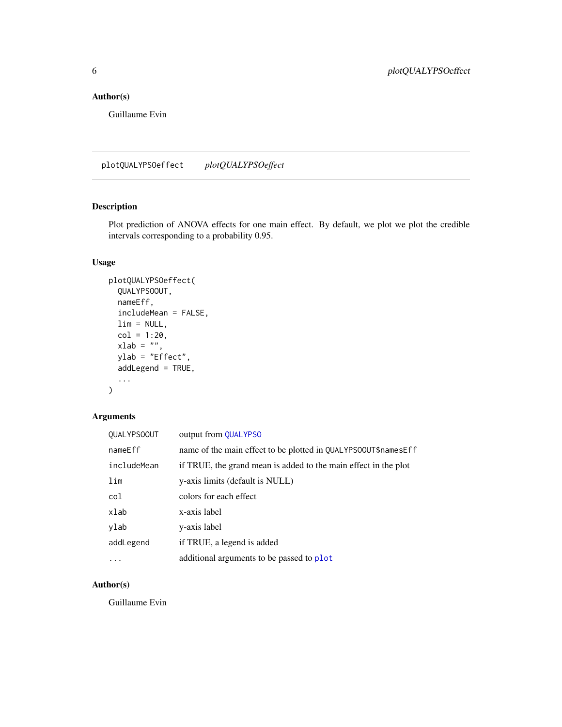## <span id="page-5-0"></span>Author(s)

Guillaume Evin

plotQUALYPSOeffect *plotQUALYPSOeffect*

## Description

Plot prediction of ANOVA effects for one main effect. By default, we plot we plot the credible intervals corresponding to a probability 0.95.

## Usage

```
plotQUALYPSOeffect(
  QUALYPSOOUT,
  nameEff,
  includeMean = FALSE,
 \lim = NULL,
  col = 1:20,xlab = "",
 ylab = "Effect",
  addLegend = TRUE,
  ...
)
```
## Arguments

| <b>QUALYPSOOUT</b> | output from QUALYPSO                                            |
|--------------------|-----------------------------------------------------------------|
| nameEff            | name of the main effect to be plotted in QUALYPS00UT\$namesEff  |
| includeMean        | if TRUE, the grand mean is added to the main effect in the plot |
| lim                | y-axis limits (default is NULL)                                 |
| col                | colors for each effect                                          |
| xlab               | x-axis label                                                    |
| ylab               | y-axis label                                                    |
| addLegend          | if TRUE, a legend is added                                      |
| .                  | additional arguments to be passed to plot                       |

## Author(s)

Guillaume Evin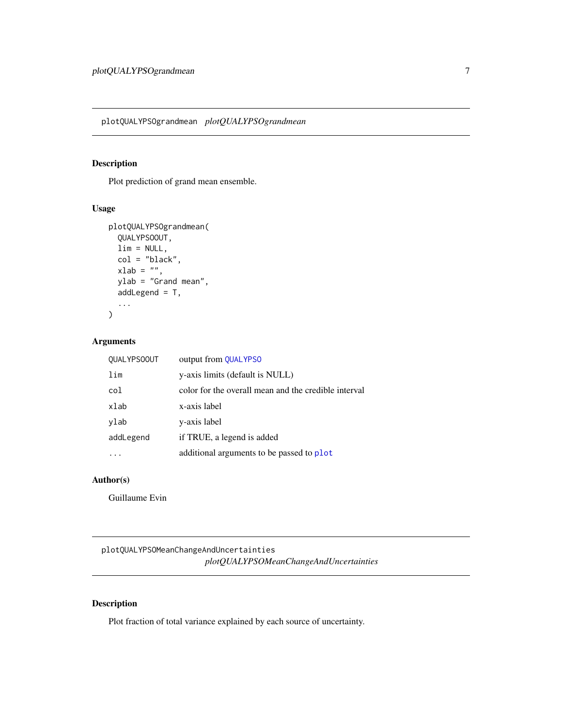<span id="page-6-0"></span>plotQUALYPSOgrandmean *plotQUALYPSOgrandmean*

## Description

Plot prediction of grand mean ensemble.

## Usage

```
plotQUALYPSOgrandmean(
  QUALYPSOOUT,
  \lim = NULL,
  col = "black",
  xlab = "",
  ylab = "Grand mean",
  addLegend = T,
  ...
\mathcal{L}
```
## Arguments

| <b>QUALYPSOOUT</b> | output from QUALYPSO                                 |
|--------------------|------------------------------------------------------|
| lim                | y-axis limits (default is NULL)                      |
| col                | color for the overall mean and the credible interval |
| xlab               | x-axis label                                         |
| ylab               | y-axis label                                         |
| addLegend          | if TRUE, a legend is added                           |
|                    | additional arguments to be passed to plot            |

## Author(s)

Guillaume Evin

plotQUALYPSOMeanChangeAndUncertainties *plotQUALYPSOMeanChangeAndUncertainties*

## Description

Plot fraction of total variance explained by each source of uncertainty.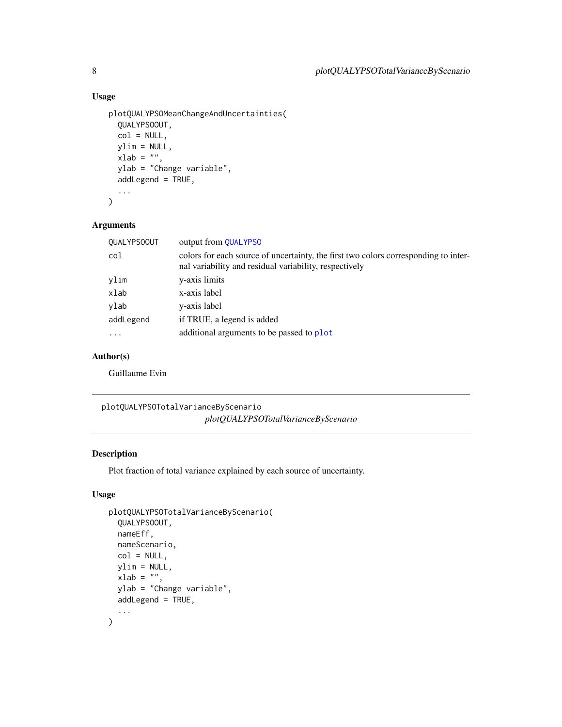## Usage

```
plotQUALYPSOMeanChangeAndUncertainties(
  QUALYPSOOUT,
  col = NULL,ylim = NULL,
 xlab = ",
 ylab = "Change variable",
  addLegend = TRUE,
  ...
\mathcal{L}
```
## Arguments

| <b>QUALYPSOOUT</b> | output from QUALYPSO                                                                                                                          |
|--------------------|-----------------------------------------------------------------------------------------------------------------------------------------------|
| col                | colors for each source of uncertainty, the first two colors corresponding to inter-<br>nal variability and residual variability, respectively |
| ylim               | y-axis limits                                                                                                                                 |
| xlab               | x-axis label                                                                                                                                  |
| ylab               | y-axis label                                                                                                                                  |
| addLegend          | if TRUE, a legend is added                                                                                                                    |
| $\ddotsc$          | additional arguments to be passed to plot                                                                                                     |
|                    |                                                                                                                                               |

## Author(s)

Guillaume Evin

plotQUALYPSOTotalVarianceByScenario *plotQUALYPSOTotalVarianceByScenario*

## Description

Plot fraction of total variance explained by each source of uncertainty.

## Usage

```
plotQUALYPSOTotalVarianceByScenario(
  QUALYPSOOUT,
  nameEff,
  nameScenario,
  col = NULL,vlim = NULL,
 xlab = "",
 ylab = "Change variable",
 addLegend = TRUE,
  ...
\mathcal{L}
```
<span id="page-7-0"></span>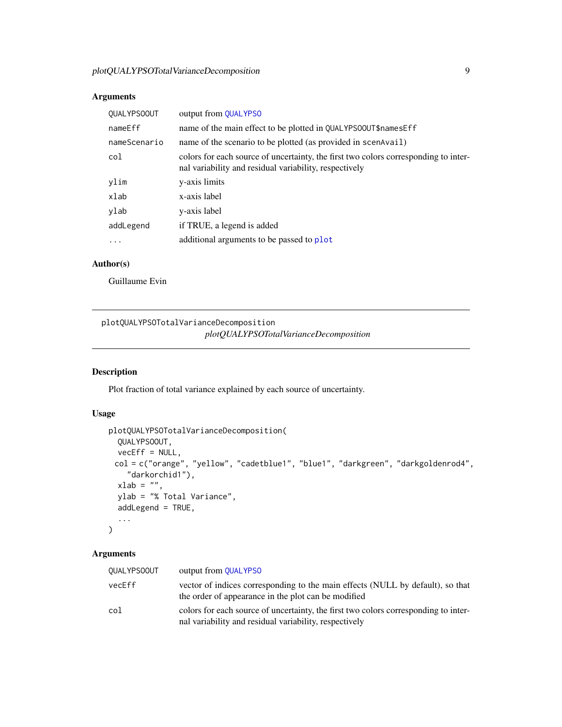## <span id="page-8-0"></span>Arguments

| <b>QUALYPSOOUT</b> | output from QUALYPSO                                                                                                                          |
|--------------------|-----------------------------------------------------------------------------------------------------------------------------------------------|
| nameEff            | name of the main effect to be plotted in QUALYPS00UT\$namesEff                                                                                |
| nameScenario       | name of the scenario to be plotted (as provided in scenavail)                                                                                 |
| col                | colors for each source of uncertainty, the first two colors corresponding to inter-<br>nal variability and residual variability, respectively |
| ylim               | y-axis limits                                                                                                                                 |
| xlab               | x-axis label                                                                                                                                  |
| ylab               | y-axis label                                                                                                                                  |
| addLegend          | if TRUE, a legend is added                                                                                                                    |
| $\ddotsc$          | additional arguments to be passed to plot                                                                                                     |
|                    |                                                                                                                                               |

## Author(s)

Guillaume Evin

## plotQUALYPSOTotalVarianceDecomposition *plotQUALYPSOTotalVarianceDecomposition*

## Description

Plot fraction of total variance explained by each source of uncertainty.

## Usage

```
plotQUALYPSOTotalVarianceDecomposition(
 QUALYPSOOUT,
 veeEff = NULL,col = c("orange", "yellow", "cadetblue1", "blue1", "darkgreen", "darkgoldenrod4",
    "darkorchid1"),
 xlab = "",
 ylab = "% Total Variance",
 addLegend = TRUE,
  ...
)
```
## Arguments

| <b>QUALYPSOOUT</b> | output from <b>QUALYPSO</b>                                                                                                                   |
|--------------------|-----------------------------------------------------------------------------------------------------------------------------------------------|
| vecEff             | vector of indices corresponding to the main effects (NULL by default), so that<br>the order of appearance in the plot can be modified         |
| col                | colors for each source of uncertainty, the first two colors corresponding to inter-<br>nal variability and residual variability, respectively |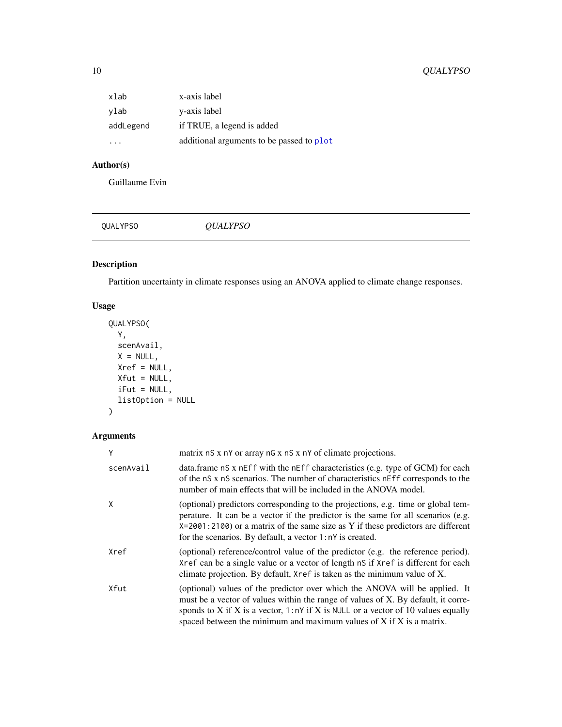## <span id="page-9-0"></span>10 QUALYPSO

| xlab      | x-axis label                              |
|-----------|-------------------------------------------|
| ylab      | y-axis label                              |
| addLegend | if TRUE, a legend is added                |
|           | additional arguments to be passed to plot |

## Author(s)

Guillaume Evin

<span id="page-9-1"></span>QUALYPSO *QUALYPSO*

## Description

Partition uncertainty in climate responses using an ANOVA applied to climate change responses.

## Usage

```
QUALYPSO(
 Y,
 scenAvail,
 X = NULL,Xref = NULL,
 Xfut = NULL,
 iFut = NULL,listOption = NULL
)
```
## Arguments

| Υ         | matrix nS x nY or array nG x nS x nY of climate projections.                                                                                                                                                                                                                                                                   |
|-----------|--------------------------------------------------------------------------------------------------------------------------------------------------------------------------------------------------------------------------------------------------------------------------------------------------------------------------------|
| scenAvail | data.frame nS x nEff with the nEff characteristics (e.g. type of GCM) for each<br>of the nS x nS scenarios. The number of characteristics nEff corresponds to the<br>number of main effects that will be included in the ANOVA model.                                                                                          |
| X         | (optional) predictors corresponding to the projections, e.g. time or global tem-<br>perature. It can be a vector if the predictor is the same for all scenarios (e.g.<br>$X=2001:2100$ or a matrix of the same size as Y if these predictors are different<br>for the scenarios. By default, a vector 1:nY is created.         |
| Xref      | (optional) reference/control value of the predictor (e.g. the reference period).<br>Xref can be a single value or a vector of length nS if Xref is different for each<br>climate projection. By default, Xref is taken as the minimum value of X.                                                                              |
| Xfut      | (optional) values of the predictor over which the ANOVA will be applied. It<br>must be a vector of values within the range of values of X. By default, it corre-<br>sponds to X if X is a vector, $1:nY$ if X is NULL or a vector of 10 values equally<br>spaced between the minimum and maximum values of X if X is a matrix. |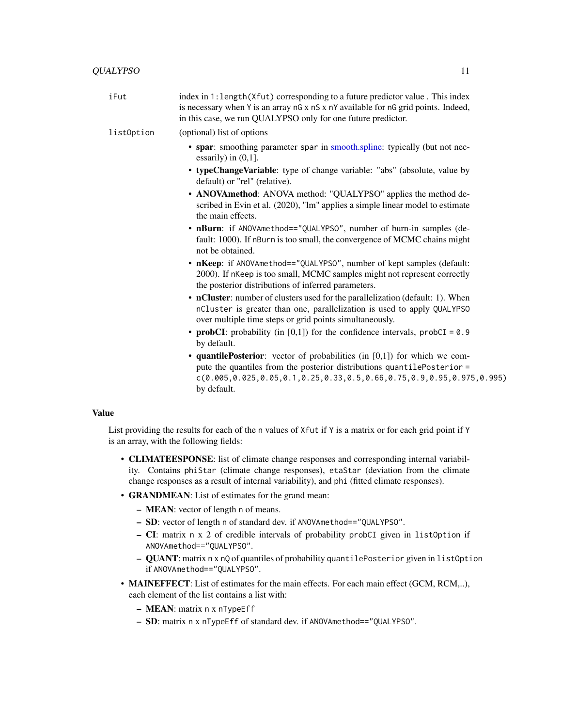<span id="page-10-0"></span>

| iFut       | index in 1: length (Xfut) corresponding to a future predictor value. This index<br>is necessary when Y is an array nG x nS x nY available for nG grid points. Indeed,<br>in this case, we run QUALYPSO only for one future predictor.                         |
|------------|---------------------------------------------------------------------------------------------------------------------------------------------------------------------------------------------------------------------------------------------------------------|
| listOption | (optional) list of options                                                                                                                                                                                                                                    |
|            | • spar: smoothing parameter spar in smooth.spline: typically (but not nec-<br>essarily) in $(0,1]$ .                                                                                                                                                          |
|            | • typeChangeVariable: type of change variable: "abs" (absolute, value by<br>default) or "rel" (relative).                                                                                                                                                     |
|            | • ANOVAmethod: ANOVA method: "QUALYPSO" applies the method de-<br>scribed in Evin et al. (2020), "lm" applies a simple linear model to estimate<br>the main effects.                                                                                          |
|            | • nBurn: if ANOVAmethod=="QUALYPSO", number of burn-in samples (de-<br>fault: 1000). If nBurn is too small, the convergence of MCMC chains might<br>not be obtained.                                                                                          |
|            | • nKeep: if ANOVAmethod=="QUALYPSO", number of kept samples (default:<br>2000). If nKeep is too small, MCMC samples might not represent correctly<br>the posterior distributions of inferred parameters.                                                      |
|            | • nCluster: number of clusters used for the parallelization (default: 1). When<br>nCluster is greater than one, parallelization is used to apply QUALYPSO<br>over multiple time steps or grid points simultaneously.                                          |
|            | • probCI: probability (in $[0,1]$ ) for the confidence intervals, probCI = 0.9<br>by default.                                                                                                                                                                 |
|            | • quantile Posterior: vector of probabilities (in $[0,1]$ ) for which we com-<br>pute the quantiles from the posterior distributions quantilePosterior =<br>$c(0.005, 0.025, 0.05, 0.1, 0.25, 0.33, 0.5, 0.66, 0.75, 0.9, 0.95, 0.975, 0.995)$<br>by default. |
|            |                                                                                                                                                                                                                                                               |

## Value

List providing the results for each of the n values of Xfut if Y is a matrix or for each grid point if Y is an array, with the following fields:

- CLIMATEESPONSE: list of climate change responses and corresponding internal variability. Contains phiStar (climate change responses), etaStar (deviation from the climate change responses as a result of internal variability), and phi (fitted climate responses).
- GRANDMEAN: List of estimates for the grand mean:
	- MEAN: vector of length n of means.
	- SD: vector of length n of standard dev. if ANOVAmethod=="QUALYPSO".
	- CI: matrix n x 2 of credible intervals of probability probCI given in listOption if ANOVAmethod=="QUALYPSO".
	- QUANT: matrix n x nQ of quantiles of probability quantilePosterior given in listOption if ANOVAmethod=="QUALYPSO".
- **MAINEFFECT**: List of estimates for the main effects. For each main effect (GCM, RCM,..), each element of the list contains a list with:
	- MEAN: matrix n x nTypeEff
	- SD: matrix n x nTypeEff of standard dev. if ANOVAmethod=="QUALYPSO".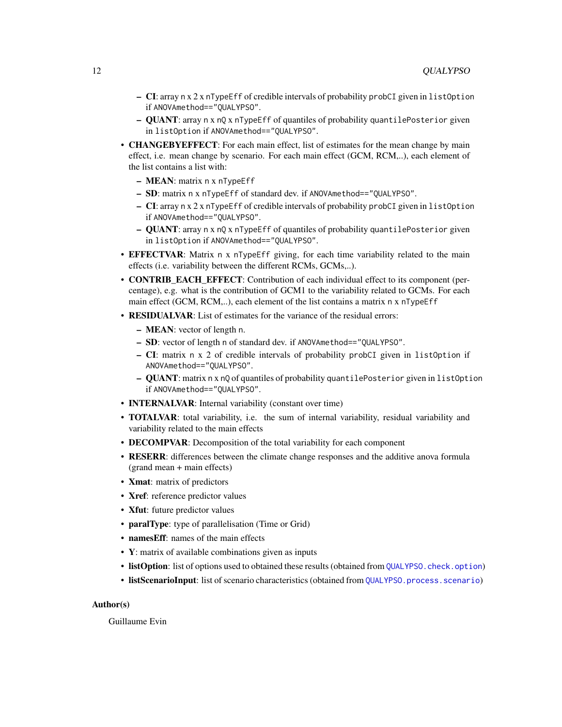- <span id="page-11-0"></span> $-$  CI: array n x 2 x nTypeEff of credible intervals of probability probCI given in listOption if ANOVAmethod=="QUALYPSO".
- QUANT: array n x nQ x nTypeEff of quantiles of probability quantilePosterior given in listOption if ANOVAmethod=="QUALYPSO".
- **CHANGEBYEFFECT**: For each main effect, list of estimates for the mean change by main effect, i.e. mean change by scenario. For each main effect (GCM, RCM,..), each element of the list contains a list with:
	- MEAN: matrix n x nTypeEff
	- SD: matrix n x nTypeEff of standard dev. if ANOVAmethod=="QUALYPSO".
	- CI: array n x 2 x nTypeEff of credible intervals of probability probCI given in listOption if ANOVAmethod=="QUALYPSO".
	- QUANT: array n x nQ x nTypeEff of quantiles of probability quantilePosterior given in listOption if ANOVAmethod=="QUALYPSO".
- **EFFECTVAR**: Matrix n x nTypeEff giving, for each time variability related to the main effects (i.e. variability between the different RCMs, GCMs,..).
- **CONTRIB\_EACH\_EFFECT**: Contribution of each individual effect to its component (percentage), e.g. what is the contribution of GCM1 to the variability related to GCMs. For each main effect (GCM, RCM,..), each element of the list contains a matrix n x nTypeEff
- **RESIDUALVAR:** List of estimates for the variance of the residual errors:
	- MEAN: vector of length n.
	- SD: vector of length n of standard dev. if ANOVAmethod=="QUALYPSO".
	- CI: matrix n x 2 of credible intervals of probability probCI given in listOption if ANOVAmethod=="QUALYPSO".
	- QUANT: matrix n x nQ of quantiles of probability quantilePosterior given in listOption if ANOVAmethod=="QUALYPSO".
- **INTERNALVAR**: Internal variability (constant over time)
- **TOTALVAR**: total variability, i.e. the sum of internal variability, residual variability and variability related to the main effects
- DECOMPVAR: Decomposition of the total variability for each component
- RESERR: differences between the climate change responses and the additive anova formula (grand mean + main effects)
- **Xmat**: matrix of predictors
- Xref: reference predictor values
- Xfut: future predictor values
- **paralType**: type of parallelisation (Time or Grid)
- namesEff: names of the main effects
- Y: matrix of available combinations given as inputs
- listOption: list of options used to obtained these results (obtained from [QUALYPSO.check.option](#page-17-1))
- listScenarioInput: list of scenario characteristics (obtained from [QUALYPSO.process.scenario](#page-17-2))

#### Author(s)

Guillaume Evin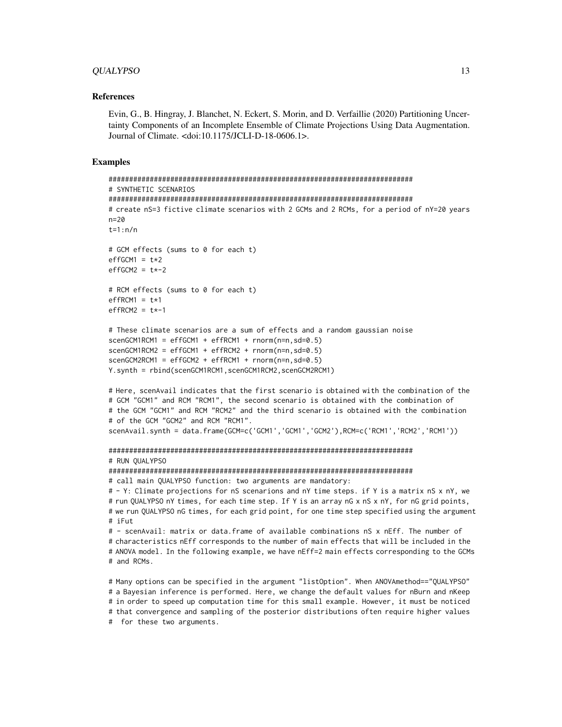#### QUALYPSO 13

#### References

Evin, G., B. Hingray, J. Blanchet, N. Eckert, S. Morin, and D. Verfaillie (2020) Partitioning Uncertainty Components of an Incomplete Ensemble of Climate Projections Using Data Augmentation. Journal of Climate. <doi:10.1175/JCLI-D-18-0606.1>.

#### Examples

```
##########################################################################
# SYNTHETIC SCENARIOS
##########################################################################
# create nS=3 fictive climate scenarios with 2 GCMs and 2 RCMs, for a period of nY=20 years
n=20
t=1:n/n
# GCM effects (sums to 0 for each t)
effGCM1 = t*2effGCM2 = t*-2# RCM effects (sums to 0 for each t)
effRCM1 = t*1effRCM2 = t*-1# These climate scenarios are a sum of effects and a random gaussian noise
scenGCM1RCM1 = effGCM1 + effRCM1 + rnorm(n=n, sd=0.5)scenGCM1RCM2 = effGCM1 + effRCM2 + rnorm(n=n, sd=0.5)scenGCM2RCM1 = effGCM2 + effRCM1 + rnorm(n=n, sd=0.5)Y.synth = rbind(scenGCM1RCM1,scenGCM1RCM2,scenGCM2RCM1)
```

```
# Here, scenAvail indicates that the first scenario is obtained with the combination of the
# GCM "GCM1" and RCM "RCM1", the second scenario is obtained with the combination of
# the GCM "GCM1" and RCM "RCM2" and the third scenario is obtained with the combination
# of the GCM "GCM2" and RCM "RCM1".
scenAvail.synth = data.frame(GCM=c('GCM1','GCM1','GCM2'),RCM=c('RCM1','RCM2','RCM1'))
```

```
##########################################################################
# RUN QUALYPSO
```
##########################################################################

# call main QUALYPSO function: two arguments are mandatory:

```
# - Y: Climate projections for nS scenarions and nY time steps. if Y is a matrix nS x nY, we
# run QUALYPSO nY times, for each time step. If Y is an array nG x nS x nY, for nG grid points,
# we run QUALYPSO nG times, for each grid point, for one time step specified using the argument
# iFut
```

```
# - scenAvail: matrix or data.frame of available combinations nS x nEff. The number of
# characteristics nEff corresponds to the number of main effects that will be included in the
# ANOVA model. In the following example, we have nEff=2 main effects corresponding to the GCMs
# and RCMs.
```
# Many options can be specified in the argument "listOption". When ANOVAmethod=="QUALYPSO" # a Bayesian inference is performed. Here, we change the default values for nBurn and nKeep # in order to speed up computation time for this small example. However, it must be noticed # that convergence and sampling of the posterior distributions often require higher values # for these two arguments.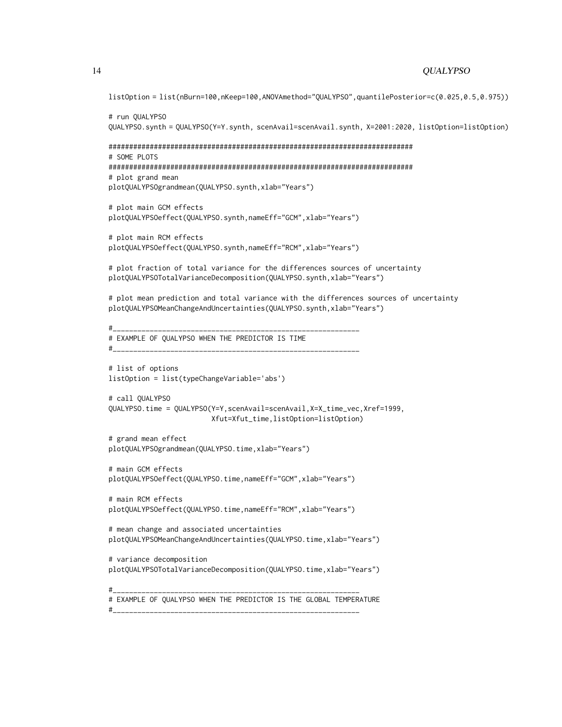```
listOption = list(nBurn=100,nKeep=100,ANOVAmethod="QUALYPSO",quantilePosterior=c(0.025,0.5,0.975))
# run QUALYPSO
QUALYPSO.synth = QUALYPSO(Y=Y.synth, scenAvail=scenAvail.synth, X=2001:2020, listOption=listOption)
##########################################################################
# SOME PLOTS
##########################################################################
# plot grand mean
plotQUALYPSOgrandmean(QUALYPSO.synth,xlab="Years")
# plot main GCM effects
plotQUALYPSOeffect(QUALYPSO.synth,nameEff="GCM",xlab="Years")
# plot main RCM effects
plotQUALYPSOeffect(QUALYPSO.synth,nameEff="RCM",xlab="Years")
# plot fraction of total variance for the differences sources of uncertainty
plotQUALYPSOTotalVarianceDecomposition(QUALYPSO.synth,xlab="Years")
# plot mean prediction and total variance with the differences sources of uncertainty
plotQUALYPSOMeanChangeAndUncertainties(QUALYPSO.synth,xlab="Years")
#____________________________________________________________
# EXAMPLE OF QUALYPSO WHEN THE PREDICTOR IS TIME
#____________________________________________________________
# list of options
listOption = list(typeChangeVariable='abs')
# call QUALYPSO
QUALYPSO.time = QUALYPSO(Y=Y,scenAvail=scenAvail,X=X_time_vec,Xref=1999,
                        Xfut=Xfut_time,listOption=listOption)
# grand mean effect
plotQUALYPSOgrandmean(QUALYPSO.time,xlab="Years")
# main GCM effects
plotQUALYPSOeffect(QUALYPSO.time,nameEff="GCM",xlab="Years")
# main RCM effects
plotQUALYPSOeffect(QUALYPSO.time,nameEff="RCM",xlab="Years")
# mean change and associated uncertainties
plotQUALYPSOMeanChangeAndUncertainties(QUALYPSO.time,xlab="Years")
# variance decomposition
plotQUALYPSOTotalVarianceDecomposition(QUALYPSO.time,xlab="Years")
#____________________________________________________________
# EXAMPLE OF QUALYPSO WHEN THE PREDICTOR IS THE GLOBAL TEMPERATURE
```
#\_\_\_\_\_\_\_\_\_\_\_\_\_\_\_\_\_\_\_\_\_\_\_\_\_\_\_\_\_\_\_\_\_\_\_\_\_\_\_\_\_\_\_\_\_\_\_\_\_\_\_\_\_\_\_\_\_\_\_\_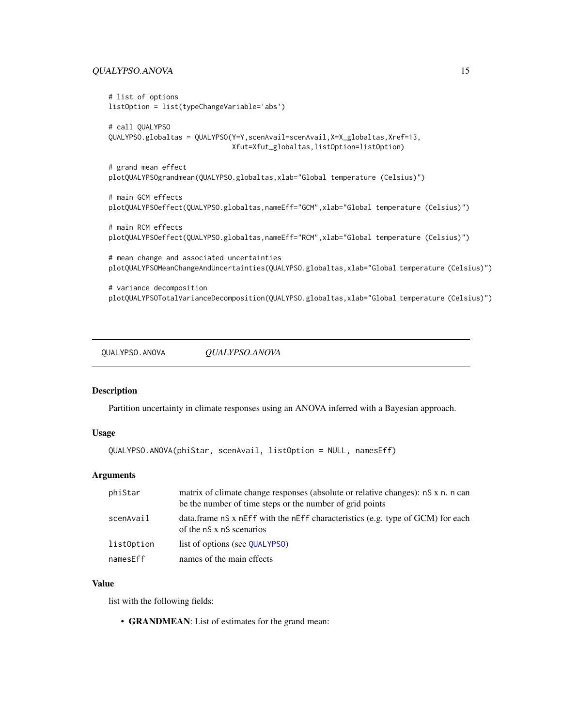## <span id="page-14-0"></span>QUALYPSO.ANOVA 15

```
# list of options
listOption = list(typeChangeVariable='abs')
# call QUALYPSO
QUALYPSO.globaltas = QUALYPSO(Y=Y,scenAvail=scenAvail,X=X_globaltas,Xref=13,
                              Xfut=Xfut_globaltas,listOption=listOption)
# grand mean effect
plotQUALYPSOgrandmean(QUALYPSO.globaltas,xlab="Global temperature (Celsius)")
# main GCM effects
plotQUALYPSOeffect(QUALYPSO.globaltas,nameEff="GCM",xlab="Global temperature (Celsius)")
# main RCM effects
plotQUALYPSOeffect(QUALYPSO.globaltas,nameEff="RCM",xlab="Global temperature (Celsius)")
# mean change and associated uncertainties
plotQUALYPSOMeanChangeAndUncertainties(QUALYPSO.globaltas,xlab="Global temperature (Celsius)")
# variance decomposition
plotQUALYPSOTotalVarianceDecomposition(QUALYPSO.globaltas,xlab="Global temperature (Celsius)")
```
QUALYPSO.ANOVA *QUALYPSO.ANOVA*

#### Description

Partition uncertainty in climate responses using an ANOVA inferred with a Bayesian approach.

#### Usage

```
QUALYPSO.ANOVA(phiStar, scenAvail, listOption = NULL, namesEff)
```
## **Arguments**

| phiStar    | matrix of climate change responses (absolute or relative changes): nS x n. n can<br>be the number of time steps or the number of grid points |
|------------|----------------------------------------------------------------------------------------------------------------------------------------------|
| scenAvail  | data.frame nS x nEff with the nEff characteristics (e.g. type of GCM) for each<br>of the nS x nS scenarios                                   |
| list0ption | list of options (see QUALYPSO)                                                                                                               |
| namesEff   | names of the main effects                                                                                                                    |

#### Value

list with the following fields:

• GRANDMEAN: List of estimates for the grand mean: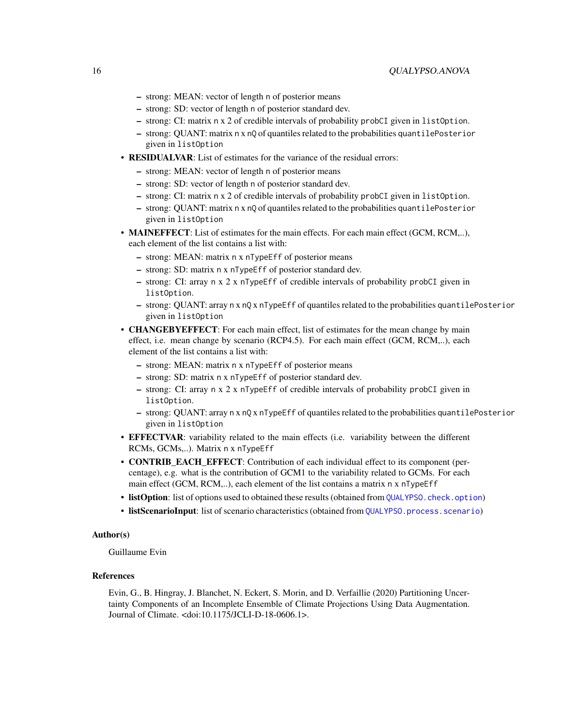- <span id="page-15-0"></span>– strong: MEAN: vector of length n of posterior means
- strong: SD: vector of length n of posterior standard dev.
- strong: CI: matrix n x 2 of credible intervals of probability probCI given in listOption.
- strong: QUANT: matrix n x nQ of quantiles related to the probabilities quantilePosterior given in listOption
- **RESIDUALVAR**: List of estimates for the variance of the residual errors:
	- strong: MEAN: vector of length n of posterior means
	- strong: SD: vector of length n of posterior standard dev.
	- strong: CI: matrix n x 2 of credible intervals of probability probCI given in listOption.
	- strong: QUANT: matrix n x nQ of quantiles related to the probabilities quantilePosterior given in listOption
- MAINEFFECT: List of estimates for the main effects. For each main effect (GCM, RCM,..), each element of the list contains a list with:
	- strong: MEAN: matrix n x nTypeEff of posterior means
	- strong: SD: matrix n x nTypeEff of posterior standard dev.
	- strong: CI: array n x 2 x nTypeEff of credible intervals of probability probCI given in listOption.
	- strong: QUANT: array n x nQ x nTypeEff of quantiles related to the probabilities quantilePosterior given in listOption
- **CHANGEBYEFFECT**: For each main effect, list of estimates for the mean change by main effect, i.e. mean change by scenario (RCP4.5). For each main effect (GCM, RCM,..), each element of the list contains a list with:
	- strong: MEAN: matrix n x nTypeEff of posterior means
	- strong: SD: matrix n x nTypeEff of posterior standard dev.
	- strong: CI: array n x 2 x nTypeEff of credible intervals of probability probCI given in listOption.
	- strong: QUANT: array n x nQ x nTypeEff of quantiles related to the probabilities quantilePosterior given in listOption
- EFFECTVAR: variability related to the main effects (i.e. variability between the different RCMs, GCMs,..). Matrix n x nTypeEff
- **CONTRIB\_EACH\_EFFECT:** Contribution of each individual effect to its component (percentage), e.g. what is the contribution of GCM1 to the variability related to GCMs. For each main effect (GCM, RCM,..), each element of the list contains a matrix n x nTypeEff
- listOption: list of options used to obtained these results (obtained from [QUALYPSO.check.option](#page-17-1))
- listScenarioInput: list of scenario characteristics (obtained from [QUALYPSO.process.scenario](#page-17-2))

#### Author(s)

Guillaume Evin

#### References

Evin, G., B. Hingray, J. Blanchet, N. Eckert, S. Morin, and D. Verfaillie (2020) Partitioning Uncertainty Components of an Incomplete Ensemble of Climate Projections Using Data Augmentation. Journal of Climate. <doi:10.1175/JCLI-D-18-0606.1>.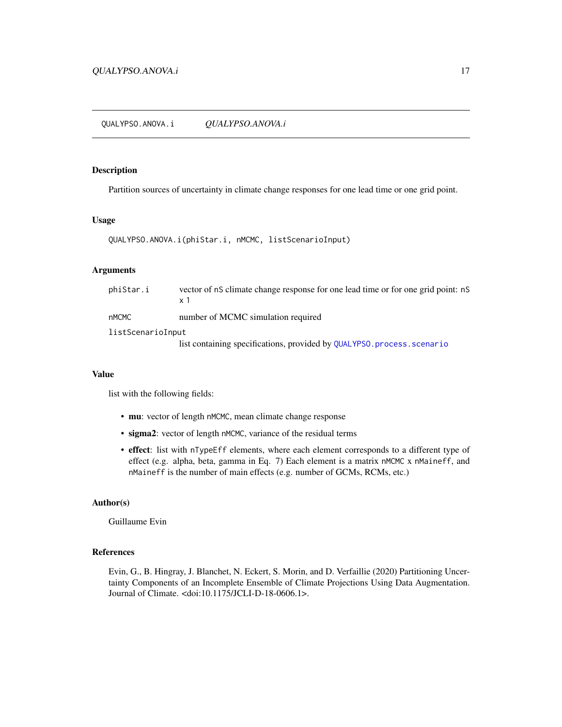<span id="page-16-0"></span>QUALYPSO.ANOVA.i *QUALYPSO.ANOVA.i*

## Description

Partition sources of uncertainty in climate change responses for one lead time or one grid point.

#### Usage

```
QUALYPSO.ANOVA.i(phiStar.i, nMCMC, listScenarioInput)
```
#### Arguments

| phiStar.i         | vector of nS climate change response for one lead time or for one grid point: nS<br>x 1 |
|-------------------|-----------------------------------------------------------------------------------------|
| nMCMC             | number of MCMC simulation required                                                      |
| listScenarioInput |                                                                                         |
|                   | list containing specifications, provided by QUALYPSO. process. scenario                 |

## Value

list with the following fields:

- mu: vector of length nMCMC, mean climate change response
- sigma2: vector of length nMCMC, variance of the residual terms
- effect: list with nTypeEff elements, where each element corresponds to a different type of effect (e.g. alpha, beta, gamma in Eq. 7) Each element is a matrix nMCMC x nMaineff, and nMaineff is the number of main effects (e.g. number of GCMs, RCMs, etc.)

## Author(s)

Guillaume Evin

#### References

Evin, G., B. Hingray, J. Blanchet, N. Eckert, S. Morin, and D. Verfaillie (2020) Partitioning Uncertainty Components of an Incomplete Ensemble of Climate Projections Using Data Augmentation. Journal of Climate. <doi:10.1175/JCLI-D-18-0606.1>.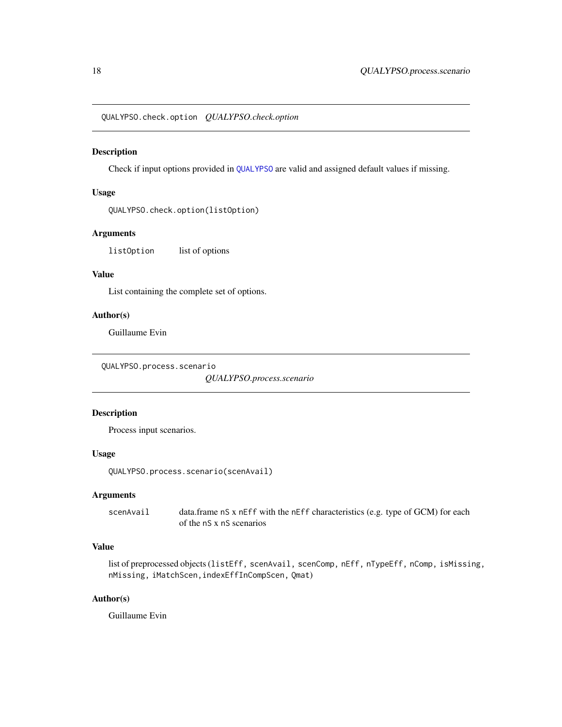<span id="page-17-1"></span><span id="page-17-0"></span>QUALYPSO.check.option *QUALYPSO.check.option*

## Description

Check if input options provided in [QUALYPSO](#page-9-1) are valid and assigned default values if missing.

## Usage

```
QUALYPSO.check.option(listOption)
```
#### Arguments

listOption list of options

## Value

List containing the complete set of options.

#### Author(s)

Guillaume Evin

```
QUALYPSO.process.scenario
```
*QUALYPSO.process.scenario*

#### Description

Process input scenarios.

## Usage

```
QUALYPSO.process.scenario(scenAvail)
```
## Arguments

scenAvail data.frame nS x nEff with the nEff characteristics (e.g. type of GCM) for each of the nS x nS scenarios

## Value

```
list of preprocessed objects (listEff, scenAvail, scenComp, nEff, nTypeEff, nComp, isMissing,
nMissing, iMatchScen,indexEffInCompScen, Qmat)
```
#### Author(s)

Guillaume Evin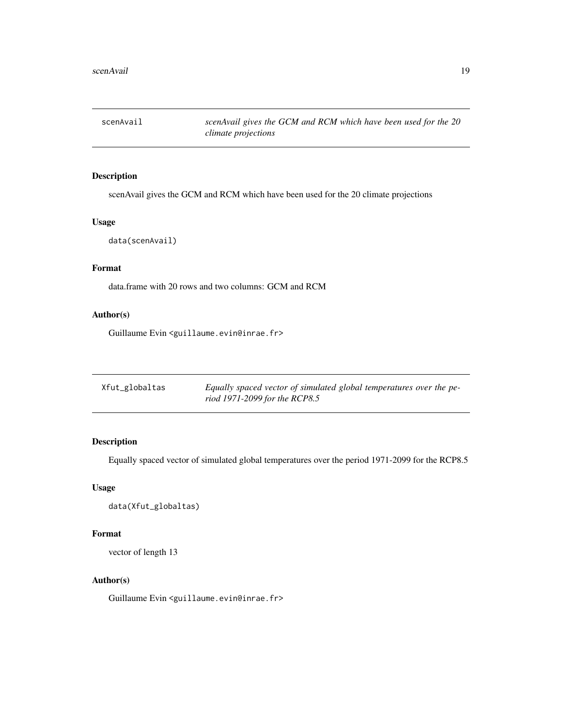<span id="page-18-0"></span>

scenAvail gives the GCM and RCM which have been used for the 20 climate projections

## Usage

data(scenAvail)

## Format

data.frame with 20 rows and two columns: GCM and RCM

## Author(s)

Guillaume Evin <guillaume.evin@inrae.fr>

| Xfut_globaltas | Equally spaced vector of simulated global temperatures over the pe- |
|----------------|---------------------------------------------------------------------|
|                | riod 1971-2099 for the RCP8.5                                       |

## Description

Equally spaced vector of simulated global temperatures over the period 1971-2099 for the RCP8.5

## Usage

data(Xfut\_globaltas)

## Format

vector of length 13

## Author(s)

Guillaume Evin <guillaume.evin@inrae.fr>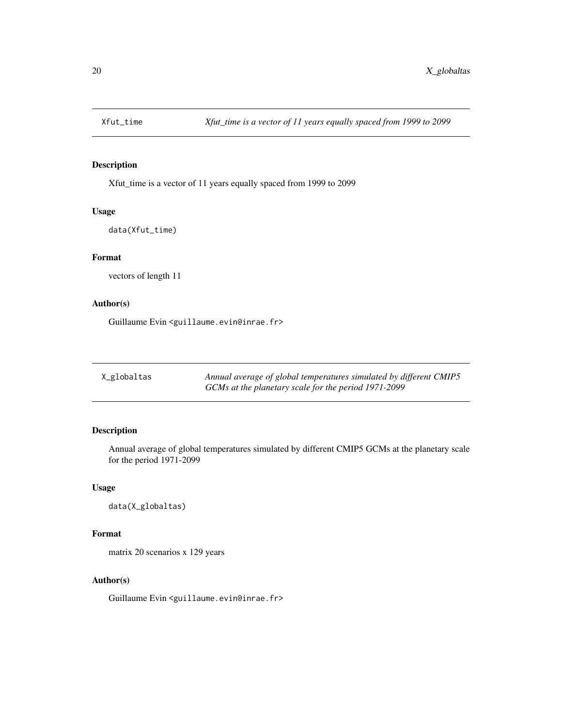<span id="page-19-0"></span>

Xfut\_time is a vector of 11 years equally spaced from 1999 to 2099

## Usage

data(Xfut\_time)

## Format

vectors of length 11

## Author(s)

Guillaume Evin <guillaume.evin@inrae.fr>

| X_globaltas | Annual average of global temperatures simulated by different CMIP5 |
|-------------|--------------------------------------------------------------------|
|             | GCMs at the planetary scale for the period 1971-2099               |

## Description

Annual average of global temperatures simulated by different CMIP5 GCMs at the planetary scale for the period 1971-2099

## Usage

data(X\_globaltas)

## Format

matrix 20 scenarios x 129 years

## Author(s)

Guillaume Evin <guillaume.evin@inrae.fr>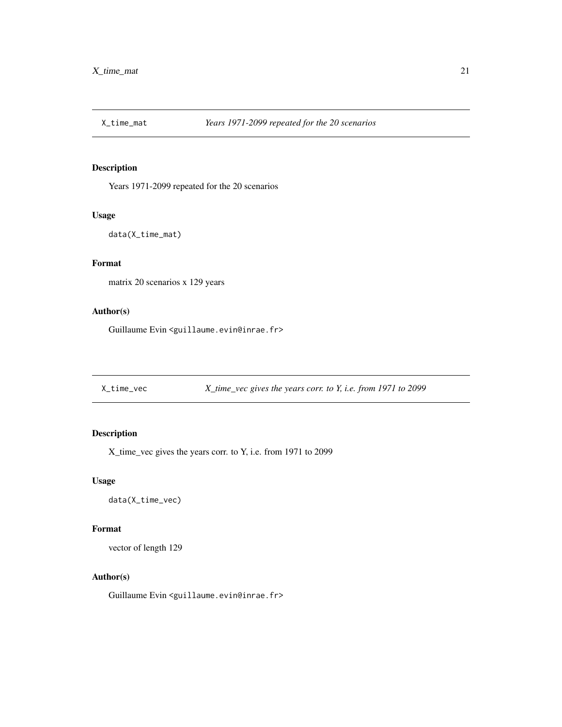<span id="page-20-0"></span>

Years 1971-2099 repeated for the 20 scenarios

#### Usage

data(X\_time\_mat)

## Format

matrix 20 scenarios x 129 years

## Author(s)

Guillaume Evin <guillaume.evin@inrae.fr>

X\_time\_vec *X\_time\_vec gives the years corr. to Y, i.e. from 1971 to 2099*

## Description

X\_time\_vec gives the years corr. to Y, i.e. from 1971 to 2099

#### Usage

data(X\_time\_vec)

#### Format

vector of length 129

## Author(s)

Guillaume Evin <guillaume.evin@inrae.fr>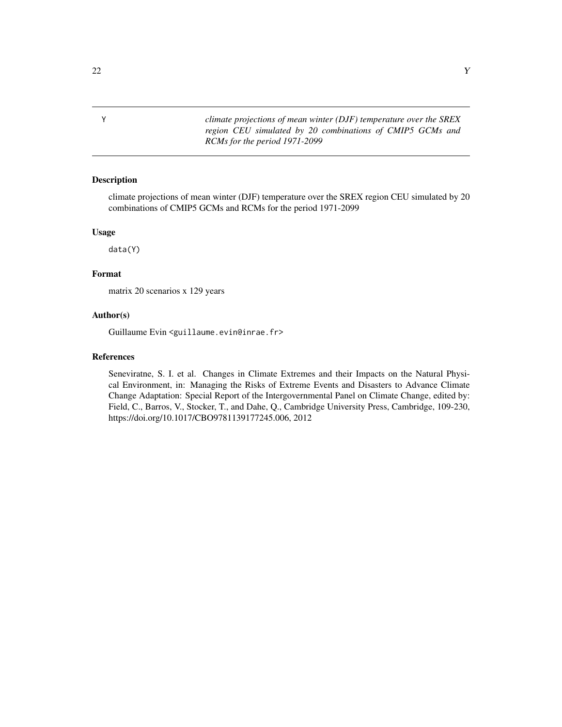Y *climate projections of mean winter (DJF) temperature over the SREX region CEU simulated by 20 combinations of CMIP5 GCMs and RCMs for the period 1971-2099*

#### Description

climate projections of mean winter (DJF) temperature over the SREX region CEU simulated by 20 combinations of CMIP5 GCMs and RCMs for the period 1971-2099

#### Usage

data(Y)

#### Format

matrix 20 scenarios x 129 years

#### Author(s)

Guillaume Evin <guillaume.evin@inrae.fr>

## References

Seneviratne, S. I. et al. Changes in Climate Extremes and their Impacts on the Natural Physical Environment, in: Managing the Risks of Extreme Events and Disasters to Advance Climate Change Adaptation: Special Report of the Intergovernmental Panel on Climate Change, edited by: Field, C., Barros, V., Stocker, T., and Dahe, Q., Cambridge University Press, Cambridge, 109-230, https://doi.org/10.1017/CBO9781139177245.006, 2012

<span id="page-21-0"></span>